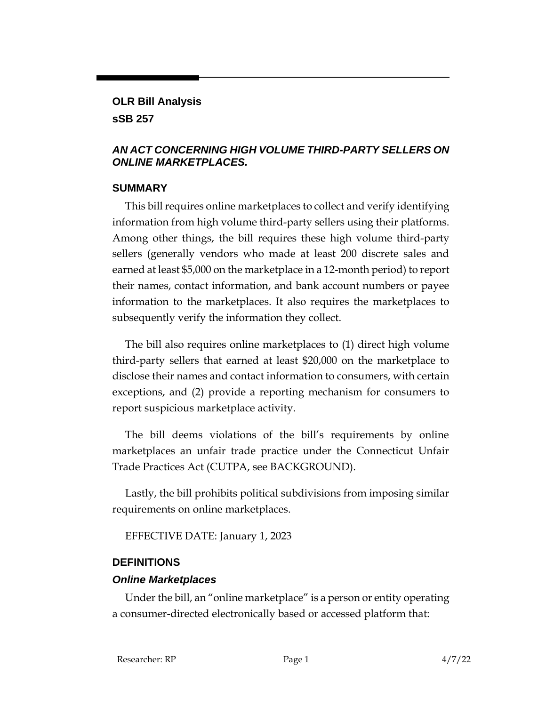#### **OLR Bill Analysis**

#### **sSB 257**

#### *AN ACT CONCERNING HIGH VOLUME THIRD-PARTY SELLERS ON ONLINE MARKETPLACES.*

#### **SUMMARY**

This bill requires online marketplaces to collect and verify identifying information from high volume third-party sellers using their platforms. Among other things, the bill requires these high volume third-party sellers (generally vendors who made at least 200 discrete sales and earned at least \$5,000 on the marketplace in a 12-month period) to report their names, contact information, and bank account numbers or payee information to the marketplaces. It also requires the marketplaces to subsequently verify the information they collect.

The bill also requires online marketplaces to (1) direct high volume third-party sellers that earned at least \$20,000 on the marketplace to disclose their names and contact information to consumers, with certain exceptions, and (2) provide a reporting mechanism for consumers to report suspicious marketplace activity.

The bill deems violations of the bill's requirements by online marketplaces an unfair trade practice under the Connecticut Unfair Trade Practices Act (CUTPA, see BACKGROUND).

Lastly, the bill prohibits political subdivisions from imposing similar requirements on online marketplaces.

EFFECTIVE DATE: January 1, 2023

## **DEFINITIONS**

## *Online Marketplaces*

Under the bill, an "online marketplace" is a person or entity operating a consumer-directed electronically based or accessed platform that: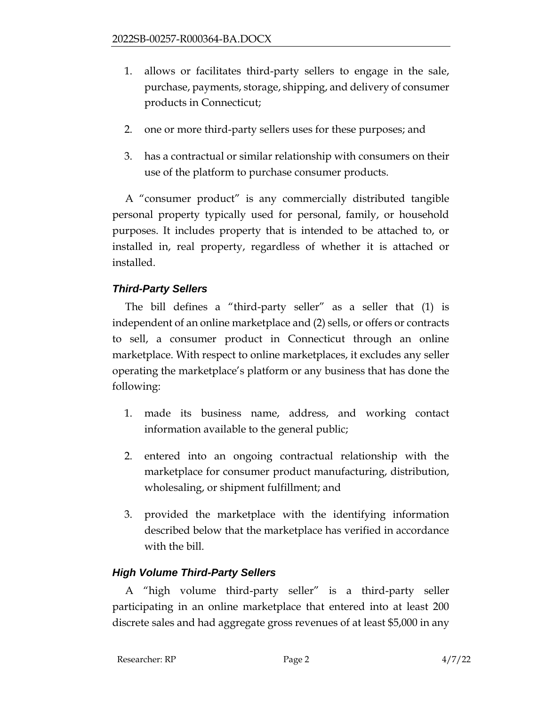- 1. allows or facilitates third-party sellers to engage in the sale, purchase, payments, storage, shipping, and delivery of consumer products in Connecticut;
- 2. one or more third-party sellers uses for these purposes; and
- 3. has a contractual or similar relationship with consumers on their use of the platform to purchase consumer products.

A "consumer product" is any commercially distributed tangible personal property typically used for personal, family, or household purposes. It includes property that is intended to be attached to, or installed in, real property, regardless of whether it is attached or installed.

# *Third-Party Sellers*

The bill defines a "third-party seller" as a seller that (1) is independent of an online marketplace and (2) sells, or offers or contracts to sell, a consumer product in Connecticut through an online marketplace. With respect to online marketplaces, it excludes any seller operating the marketplace's platform or any business that has done the following:

- 1. made its business name, address, and working contact information available to the general public;
- 2. entered into an ongoing contractual relationship with the marketplace for consumer product manufacturing, distribution, wholesaling, or shipment fulfillment; and
- 3. provided the marketplace with the identifying information described below that the marketplace has verified in accordance with the bill.

# *High Volume Third-Party Sellers*

A "high volume third-party seller" is a third-party seller participating in an online marketplace that entered into at least 200 discrete sales and had aggregate gross revenues of at least \$5,000 in any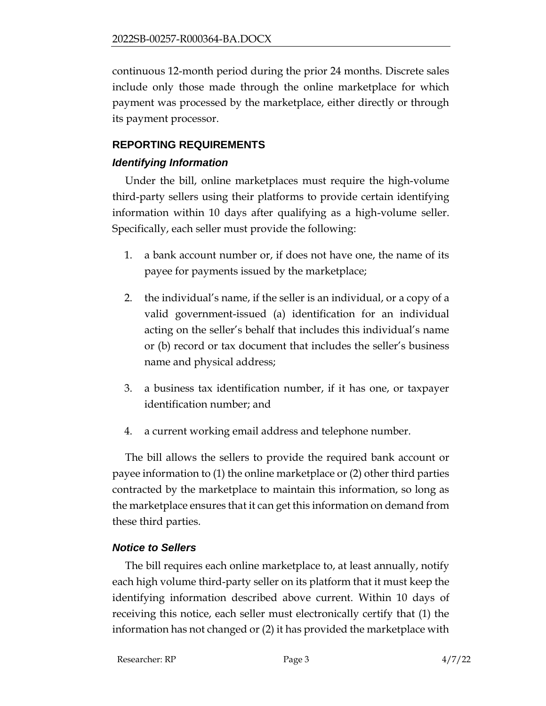continuous 12-month period during the prior 24 months. Discrete sales include only those made through the online marketplace for which payment was processed by the marketplace, either directly or through its payment processor.

## **REPORTING REQUIREMENTS**

#### *Identifying Information*

Under the bill, online marketplaces must require the high-volume third-party sellers using their platforms to provide certain identifying information within 10 days after qualifying as a high-volume seller. Specifically, each seller must provide the following:

- 1. a bank account number or, if does not have one, the name of its payee for payments issued by the marketplace;
- 2. the individual's name, if the seller is an individual, or a copy of a valid government-issued (a) identification for an individual acting on the seller's behalf that includes this individual's name or (b) record or tax document that includes the seller's business name and physical address;
- 3. a business tax identification number, if it has one, or taxpayer identification number; and
- 4. a current working email address and telephone number.

The bill allows the sellers to provide the required bank account or payee information to (1) the online marketplace or (2) other third parties contracted by the marketplace to maintain this information, so long as the marketplace ensures that it can get this information on demand from these third parties.

## *Notice to Sellers*

The bill requires each online marketplace to, at least annually, notify each high volume third-party seller on its platform that it must keep the identifying information described above current. Within 10 days of receiving this notice, each seller must electronically certify that (1) the information has not changed or (2) it has provided the marketplace with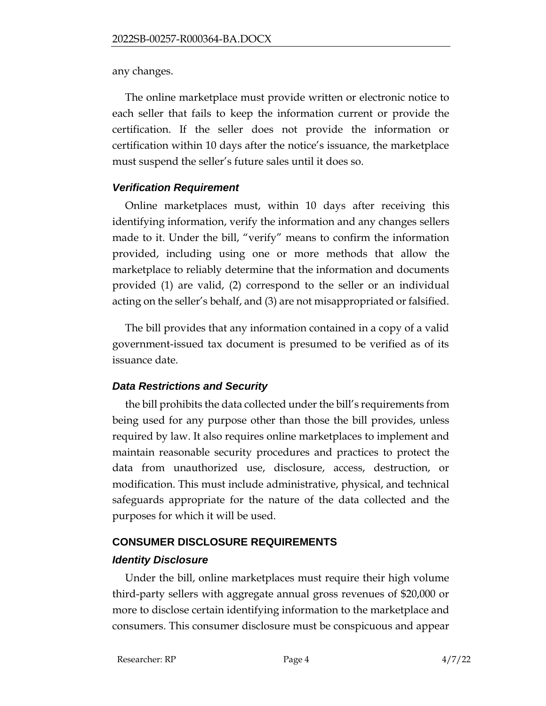any changes.

The online marketplace must provide written or electronic notice to each seller that fails to keep the information current or provide the certification. If the seller does not provide the information or certification within 10 days after the notice's issuance, the marketplace must suspend the seller's future sales until it does so.

## *Verification Requirement*

Online marketplaces must, within 10 days after receiving this identifying information, verify the information and any changes sellers made to it. Under the bill, "verify" means to confirm the information provided, including using one or more methods that allow the marketplace to reliably determine that the information and documents provided (1) are valid, (2) correspond to the seller or an individual acting on the seller's behalf, and (3) are not misappropriated or falsified.

The bill provides that any information contained in a copy of a valid government-issued tax document is presumed to be verified as of its issuance date.

## *Data Restrictions and Security*

the bill prohibits the data collected under the bill's requirements from being used for any purpose other than those the bill provides, unless required by law. It also requires online marketplaces to implement and maintain reasonable security procedures and practices to protect the data from unauthorized use, disclosure, access, destruction, or modification. This must include administrative, physical, and technical safeguards appropriate for the nature of the data collected and the purposes for which it will be used.

## **CONSUMER DISCLOSURE REQUIREMENTS**

## *Identity Disclosure*

Under the bill, online marketplaces must require their high volume third-party sellers with aggregate annual gross revenues of \$20,000 or more to disclose certain identifying information to the marketplace and consumers. This consumer disclosure must be conspicuous and appear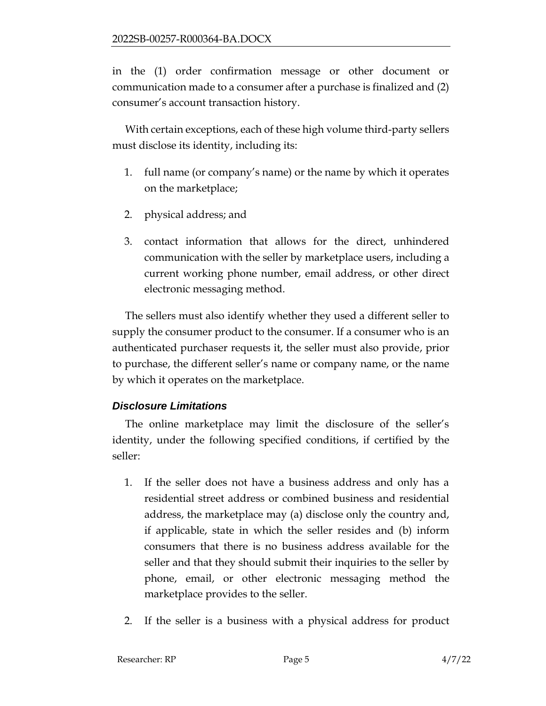in the (1) order confirmation message or other document or communication made to a consumer after a purchase is finalized and (2) consumer's account transaction history.

With certain exceptions, each of these high volume third-party sellers must disclose its identity, including its:

- 1. full name (or company's name) or the name by which it operates on the marketplace;
- 2. physical address; and
- 3. contact information that allows for the direct, unhindered communication with the seller by marketplace users, including a current working phone number, email address, or other direct electronic messaging method.

The sellers must also identify whether they used a different seller to supply the consumer product to the consumer. If a consumer who is an authenticated purchaser requests it, the seller must also provide, prior to purchase, the different seller's name or company name, or the name by which it operates on the marketplace.

## *Disclosure Limitations*

The online marketplace may limit the disclosure of the seller's identity, under the following specified conditions, if certified by the seller:

- 1. If the seller does not have a business address and only has a residential street address or combined business and residential address, the marketplace may (a) disclose only the country and, if applicable, state in which the seller resides and (b) inform consumers that there is no business address available for the seller and that they should submit their inquiries to the seller by phone, email, or other electronic messaging method the marketplace provides to the seller.
- 2. If the seller is a business with a physical address for product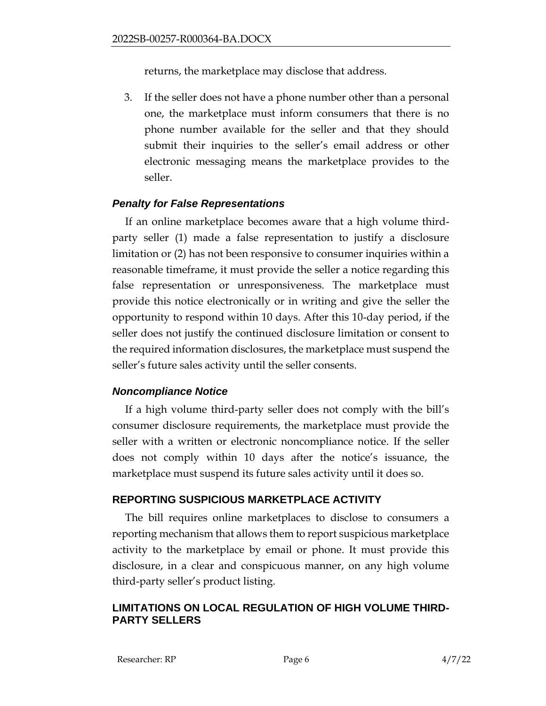returns, the marketplace may disclose that address.

3. If the seller does not have a phone number other than a personal one, the marketplace must inform consumers that there is no phone number available for the seller and that they should submit their inquiries to the seller's email address or other electronic messaging means the marketplace provides to the seller.

## *Penalty for False Representations*

If an online marketplace becomes aware that a high volume thirdparty seller (1) made a false representation to justify a disclosure limitation or (2) has not been responsive to consumer inquiries within a reasonable timeframe, it must provide the seller a notice regarding this false representation or unresponsiveness. The marketplace must provide this notice electronically or in writing and give the seller the opportunity to respond within 10 days. After this 10-day period, if the seller does not justify the continued disclosure limitation or consent to the required information disclosures, the marketplace must suspend the seller's future sales activity until the seller consents.

## *Noncompliance Notice*

If a high volume third-party seller does not comply with the bill's consumer disclosure requirements, the marketplace must provide the seller with a written or electronic noncompliance notice. If the seller does not comply within 10 days after the notice's issuance, the marketplace must suspend its future sales activity until it does so.

## **REPORTING SUSPICIOUS MARKETPLACE ACTIVITY**

The bill requires online marketplaces to disclose to consumers a reporting mechanism that allows them to report suspicious marketplace activity to the marketplace by email or phone. It must provide this disclosure, in a clear and conspicuous manner, on any high volume third-party seller's product listing.

## **LIMITATIONS ON LOCAL REGULATION OF HIGH VOLUME THIRD-PARTY SELLERS**